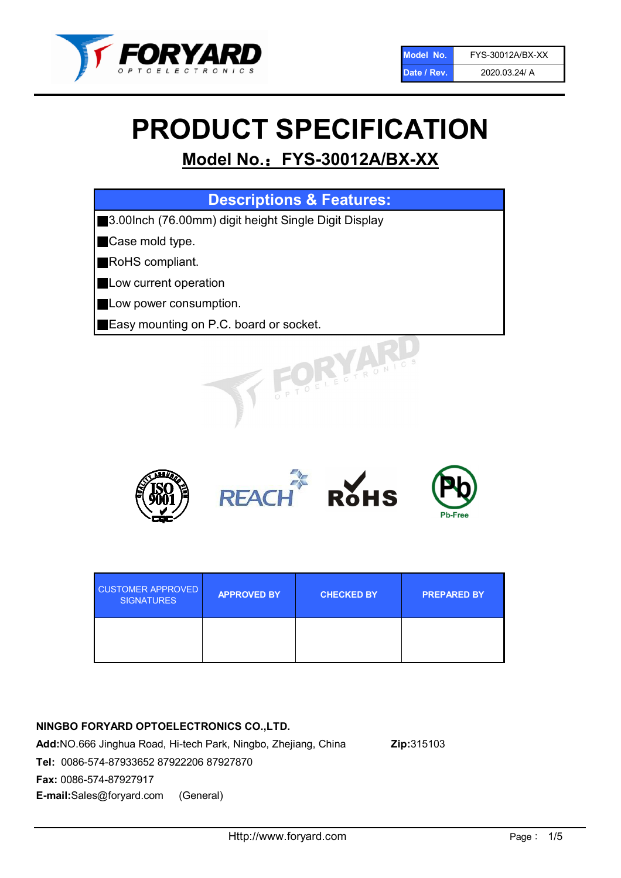

# PRODUCT SPECIFICATION

# Model No.: FYS-30012A/BX-XX

| <b>Descriptions &amp; Features:</b>                  |  |  |  |
|------------------------------------------------------|--|--|--|
| 3.00Inch (76.00mm) digit height Single Digit Display |  |  |  |
| Case mold type.                                      |  |  |  |
| RoHS compliant.                                      |  |  |  |
| Low current operation                                |  |  |  |
| Low power consumption.                               |  |  |  |
| <b>Easy mounting on P.C. board or socket.</b>        |  |  |  |
| TOELECTRONIC                                         |  |  |  |



| <b>CUSTOMER APPROVED</b><br><b>SIGNATURES</b> | <b>APPROVED BY</b> | <b>CHECKED BY</b> | <b>PREPARED BY</b> |
|-----------------------------------------------|--------------------|-------------------|--------------------|
|                                               |                    |                   |                    |

# NINGBO FORYARD OPTOELECTRONICS CO.,LTD.

Add:NO.666 Jinghua Road, Hi-tech Park, Ningbo, Zhejiang, China Zip:315103 Tel: 0086-574-87933652 87922206 87927870 Fax: 0086-574-87927917 E-mail:Sales@foryard.com (General)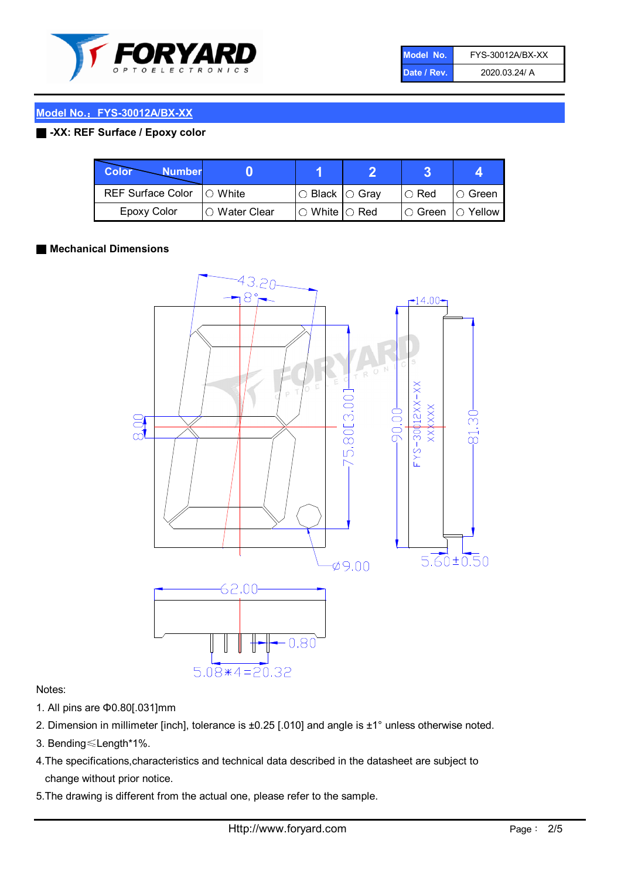

| Model No.   | FYS-30012A/BX-XX |
|-------------|------------------|
| Date / Rev. | 2020.03.24/ A    |

# Model No.: FYS-30012A/BX-XX

# ■ -XX: REF Surface / Epoxy color

| Color<br><b>Number</b>      |                |                                                   |               |                |
|-----------------------------|----------------|---------------------------------------------------|---------------|----------------|
| REF Surface Color   O White |                | $\circ$ Black $\circ$ Gray                        | $\circ$ Red   | IO Green       |
| Epoxy Color                 | I⊖ Water Clear | $\mathbin{\varcap}$ White $\mathbin{\varcap}$ Red | $\circ$ Green | $\circ$ Yellow |

### ■ Mechanical Dimensions



#### Notes:

- 1. All pins are Φ0.80[.031]mm
- 2. Dimension in millimeter [inch], tolerance is ±0.25 [.010] and angle is ±1° unless otherwise noted.
- 3. Bending≤Length\*1%.
- 4.The specifications,characteristics and technical data described in the datasheet are subject to change without prior notice.
- 5.The drawing is different from the actual one, please refer to the sample.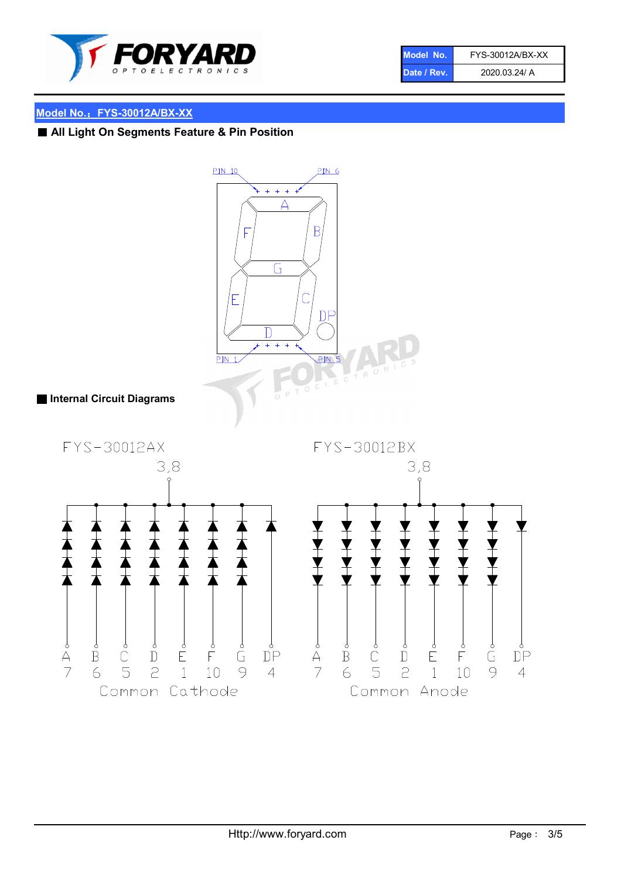

| Model No.   | FYS-30012A/BX-XX |
|-------------|------------------|
| Date / Rev. | 2020.03.24/ A    |

# Model No.: FYS-30012A/BX-XX

# ■ All Light On Segments Feature & Pin Position

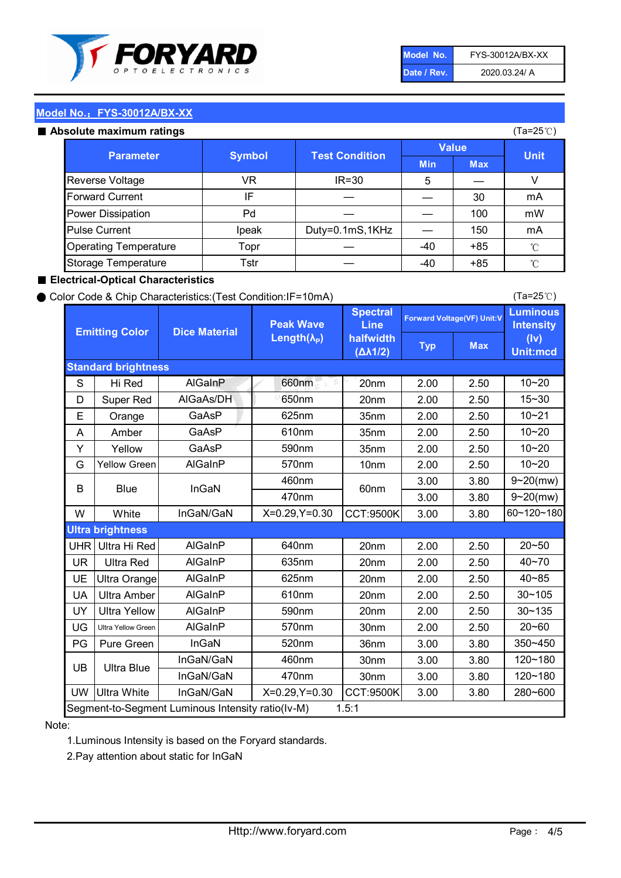

| Model No.   | FYS-30012A/BX-XX |
|-------------|------------------|
| Date / Rev. | 2020.03.24/ A    |

(Ta=25℃)

# Model No.: FYS-30012A/BX-XX

|  | Absolute maximum ratings |  |
|--|--------------------------|--|
|  |                          |  |

| <b>psolute maximum ratings</b> |                  |                                        |              |            | (Ta=25℃)     |
|--------------------------------|------------------|----------------------------------------|--------------|------------|--------------|
|                                |                  | <b>Test Condition</b><br><b>Symbol</b> | <b>Value</b> |            |              |
|                                | <b>Parameter</b> |                                        | <b>Min</b>   | <b>Max</b> | <b>Unit</b>  |
| Reverse Voltage                | VR               | $IR = 30$                              | 5            |            | V            |
| <b>Forward Current</b>         | IF               |                                        |              | 30         | mA           |
| Power Dissipation              | Pd               |                                        |              | 100        | mW           |
| <b>Pulse Current</b>           | Ipeak            | Duty=0.1mS,1KHz                        |              | 150        | mA           |
| <b>Operating Temperature</b>   | Topr             |                                        | $-40$        | $+85$      | $^{\circ}$ C |
| Storage Temperature            | Tstr             |                                        | -40          | $+85$      | $^{\circ}$ C |

#### ■ Electrical-Optical Characteristics

#### ● Color Code & Chip Characteristics:(Test Condition:IF=10mA)

Typ Max S | Hi $\textsf{Red}$  | AlGaInP | 660nm LE 20nm | 2.00 | 2.50 D | Super Red | AIGaAs/DH | 650nm | 20nm | 2.00 | 2.50 E | Orange | GaAsP | 625nm | 35nm | 2.00 | 2.50 A | Amber | GaAsP | 610nm | 35nm | 2.00 | 2.50 Y | Yellow | GaAsP | 590nm | 35nm | 2.00 | 2.50 G Yellow Green AIGaInP | 570nm | 10nm | 2.00 | 2.50 3.00 3.80 3.00 3.80 W | White | InGaN/GaN | X=0.29,Y=0.30 |CCT:9500K| 3.00 | 3.80 UHR Ultra Hi Red | AlGaInP | 640nm | 20nm | 2.00 | 2.50 UR | Ultra Red | AlGaInP | 635nm | 20nm | 2.00 | 2.50 UE Ultra Orange | AIGaInP | 625nm | 20nm | 2.00 | 2.50 UA Ultra Amber | AIGaInP | 610nm | 20nm | 2.00 | 2.50  $UV$  Ultra Yellow  $\vert$  AlGaInP  $\vert$  590nm  $\vert$  20nm  $\vert$  2.00  $\vert$  2.50  $\text{UG}$  Ultra Yellow Green | AIGaInP | 570nm | 30nm | 2.00 | 2.50 PG Pure Green | InGaN | 520nm | 36nm | 3.00 | 3.80 30nm 3.00 3.80 30nm 3.00 3.80 UW |Ultra White | InGaN/GaN | X=0.29,Y=0.30 |CCT:9500K| 3.00 | 3.80 10~20 Standard brightness Forward Voltage(VF) Unit:V 15~30 10~20 10~20 625nm GaAsP 590nm **Emitting Color Dice Material** 10~21 610nm Luminous **Intensity** (Iv) Unit:mcd AlGainP 660nm GaAsP GaAsP AlGaAs/DH **Spectral** Line halfwidth (∆λ1/2) Peak Wave Length $(\lambda_{\rm P})$ UB 460nm 635nm AlGaInP AlGaInP AlGaInP InGaN/GaN AlGaInP | 570nm | 10nm | 2.00 | 2.50 | 10~20 30~105 30~135 460nm 520nm Ultra brightness **AlGaInP** AlGaInP 60nm AlGaInP 640nm Segment-to-Segment Luminous Intensity ratio(Iv-M) 1.5:1 610nm 9~20(mw) 350~450 470nm 120~180 120~180 Ultra Blue InGaN/GaN InGaN/GaN 9~20(mw) 20~50 280~600 570nm | 30nm | 2.00 | 2.50 | 20~60 470nm 590nm InGaN/GaN B Blue I InGaN 40~85 60~120~180 40~70

#### Note:

1.Luminous Intensity is based on the Foryard standards.

2.Pay attention about static for InGaN